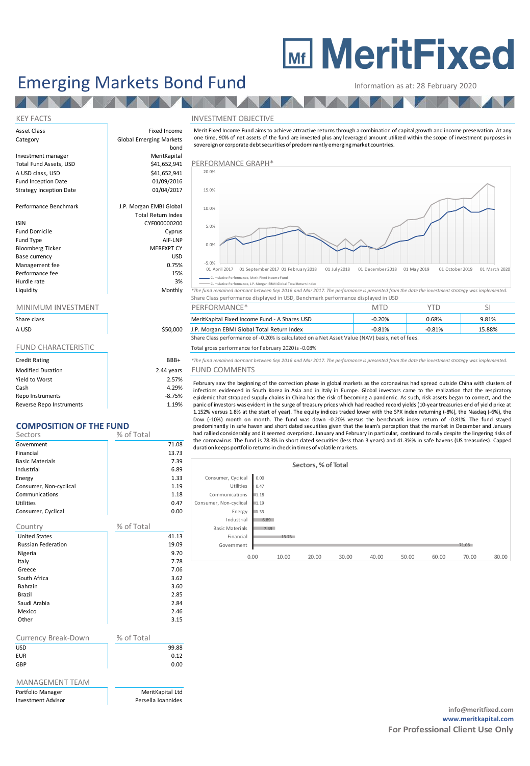# **MEDITY MeritFixed**

# Emerging Markets Bond Fund Information as at: 28 February 2020

### KEY FACTS THE INVESTMENT OBJECTIVE

| Share class |  |
|-------------|--|
| A USD       |  |

| <b>Credit Rating</b>     | BBB+       |
|--------------------------|------------|
| <b>Modified Duration</b> | 2.44 years |
| Yield to Worst           | 2.57%      |
| Cash                     | 4.29%      |
| Repo Instruments         | $-8.75%$   |
| Reverse Repo Instruments | 1.19%      |

## **COMPOSITION OF THE FUND**

| Sectors                   | % of Total |       |
|---------------------------|------------|-------|
| Government                |            | 71.08 |
| Financial                 |            | 13.73 |
| <b>Basic Materials</b>    |            | 7.39  |
| Industrial                |            | 6.89  |
| Energy                    |            | 1.33  |
| Consumer, Non-cyclical    |            | 1.19  |
| Communications            |            | 1.18  |
| Utilities                 |            | 0.47  |
| Consumer, Cyclical        |            | 0.00  |
| Country                   | % of Total |       |
| <b>United States</b>      |            | 41.13 |
| <b>Russian Federation</b> |            | 19.09 |
| Nigeria                   |            | 9.70  |
| Italy                     |            | 7.78  |
| Greece                    |            | 7.06  |
| South Africa              |            | 3.62  |
| Bahrain                   |            | 3.60  |
| Brazil                    |            | 2.85  |
| Saudi Arabia              |            | 2.84  |
| Mexico                    |            | 2.46  |
| Other                     |            | 3.15  |
|                           |            |       |
| Currency Break-Down       | % of Total |       |
| <b>USD</b>                |            | 99.88 |
| <b>EUR</b>                |            | 0.12  |
| GBP                       |            | 0.00  |
| <b>MANAGEMENT TEAM</b>    |            |       |

| 'ortfolio Manager | MeritKapital Ltd   |
|-------------------|--------------------|
| nvestment Advisor | Persella Ioannides |

| <b>Emerging Markets Bond Fund</b>              |                                                        |                                                                                                                                                                                                                                                                                                                                                                |                        | Information as at: 28 February 2020 |               |
|------------------------------------------------|--------------------------------------------------------|----------------------------------------------------------------------------------------------------------------------------------------------------------------------------------------------------------------------------------------------------------------------------------------------------------------------------------------------------------------|------------------------|-------------------------------------|---------------|
|                                                |                                                        |                                                                                                                                                                                                                                                                                                                                                                |                        |                                     |               |
| <b>KEY FACTS</b>                               |                                                        | <b>INVESTMENT OBJECTIVE</b>                                                                                                                                                                                                                                                                                                                                    |                        |                                     |               |
| Asset Class<br>Category                        | Fixed Income<br><b>Global Emerging Markets</b><br>bond | Merit Fixed Income Fund aims to achieve attractive returns through a combination of capital growth and income preservation. At any<br>one time, 90% of net assets of the fund are invested plus any leveraged amount utilized within the scope of investment purposes in<br>sovereign or corporate debt securities of predominantly emerging market countries. |                        |                                     |               |
| Investment manager<br>Total Fund Assets, USD   | MeritKapital<br>\$41,652,941                           | PERFORMANCE GRAPH*                                                                                                                                                                                                                                                                                                                                             |                        |                                     |               |
| A USD class, USD<br><b>Fund Inception Date</b> | \$41,652,941<br>01/09/2016                             | 20.0%                                                                                                                                                                                                                                                                                                                                                          |                        |                                     |               |
| Strategy Inception Date                        | 01/04/2017                                             | 15.0%                                                                                                                                                                                                                                                                                                                                                          |                        |                                     |               |
| Performance Benchmark                          | J.P. Morgan EMBI Global<br><b>Total Return Index</b>   | 10.0%                                                                                                                                                                                                                                                                                                                                                          |                        |                                     |               |
| Isin<br>Fund Domicile                          | CYF000000200<br>Cyprus                                 | 5.0%                                                                                                                                                                                                                                                                                                                                                           |                        |                                     |               |
| Fund Type<br><b>Bloomberg Ticker</b>           | AIF-LNP<br><b>MERFXPT CY</b>                           | 0.0%                                                                                                                                                                                                                                                                                                                                                           |                        |                                     |               |
| Base currency<br>Management fee                | <b>USD</b><br>0.75%                                    | $-5.0%$                                                                                                                                                                                                                                                                                                                                                        |                        |                                     |               |
| Performance fee<br>Hurdle rate                 | 15%<br>3%                                              | 01 September 2017 01 February 2018<br>01 July 2018<br>01 April 2017<br>Cumulative Performance, Merit Fixed Income Fund<br>Cumulative Performance, J.P. Morgan EBMI Global Total Return Index                                                                                                                                                                   | 01 December 2018       | 01 May 2019<br>01 October 2019      | 01 March 2020 |
| Liquidity                                      | Monthly                                                | *The fund remained dormant between Sep 2016 and Mar 2017. The performance is presented from the date the investment strategy was implemented.<br>Share Class performance displayed in USD, Benchmark performance displayed in USD                                                                                                                              |                        |                                     |               |
| MINIMUM INVESTMENT                             |                                                        | PERFORMANCE*                                                                                                                                                                                                                                                                                                                                                   | <b>MTD</b>             | <b>YTD</b>                          | SI.           |
| Share class                                    |                                                        | MeritKapital Fixed Income Fund - A Shares USD                                                                                                                                                                                                                                                                                                                  | $-0.20%$               | 0.68%                               | 9.81%         |
| A USD                                          | \$50,000                                               | J.P. Morgan EBMI Global Total Return Index<br>$\mathcal{C}$ and $\mathcal{C}$ are an experimental $\mathcal{C}$ of $\mathcal{C}$ and $\mathcal{C}$ is a set of the set of the set of the set of the set of the set of the set of the set of the set of the set of the set of the set of the set of t                                                           | $-0.81%$<br>. <i>.</i> | $-0.81%$                            | 15.88%        |

| Share class |          | MeritKapital Fixed Income Fund - A Shares USD | $-0.20%$ | 0.68% | 9.81% |
|-------------|----------|-----------------------------------------------|----------|-------|-------|
| a usd       | \$50,000 | J.P. Morgan EBMI Global Total Return Index    | $-0.81%$ | 0.81% | 5.88% |

Share Class performance of -0.20% is calculated on a Net Asset Value (NAV) basis, net of fees.

FUND CHARACTERISTIC TOTAL Total gross performance for February 2020 is -0.08%

<sup>\*</sup>The fund remained dormant between Sep 2016 and Mar 2017. The performance is presented from the date the investment strategy was implemented ears FUND COMMENTS

15.88%<br>
The fund gross performance of -0.20% is calculated on a Net Asset Value (NAV) basis, net of fees.<br>
The fund gross performance for February 2020 is -0.08%<br>
The fund remained domant between Sep 2016 and Mar 2017. The 1.152% versus 1.8% at the start of year). The equity indices traded lower with the SPX index returning (-8%), the Nasdaq (-6%), the Dow (-10%) month on month. The fund was down -0.20% versus the benchmark index return of -0.81%. The fund stayed<br>predominantly in safe haven and short dated securities given that the team's perception that the market in De -UND COIVIIVIENTS<br>February saw the beginning of the correction phase in global markets as the coronavirus had spread outside China with clusters of<br>February saw the beginning of the correction phase in global markets as th

|                        |      |       | Sectors, % of Total |       |       |       |       |       |       |
|------------------------|------|-------|---------------------|-------|-------|-------|-------|-------|-------|
| Consumer, Cyclical     | 0.00 |       |                     |       |       |       |       |       |       |
| Utilities              | 0.47 |       |                     |       |       |       |       |       |       |
| Communications         | 1.18 |       |                     |       |       |       |       |       |       |
| Consumer, Non-cyclical | 1.19 |       |                     |       |       |       |       |       |       |
| Energy                 | 1.33 |       |                     |       |       |       |       |       |       |
| Industrial             | 6.89 |       |                     |       |       |       |       |       |       |
| <b>Basic Materials</b> | 7.39 |       |                     |       |       |       |       |       |       |
| Financial              |      | 13.73 |                     |       |       |       |       |       |       |
| Government             |      |       |                     |       |       |       |       | 71.08 |       |
|                        | 0.00 | 10.00 | 20.00               | 30.00 | 40.00 | 50.00 | 60.00 | 70.00 | 80.00 |
|                        |      |       |                     |       |       |       |       |       |       |